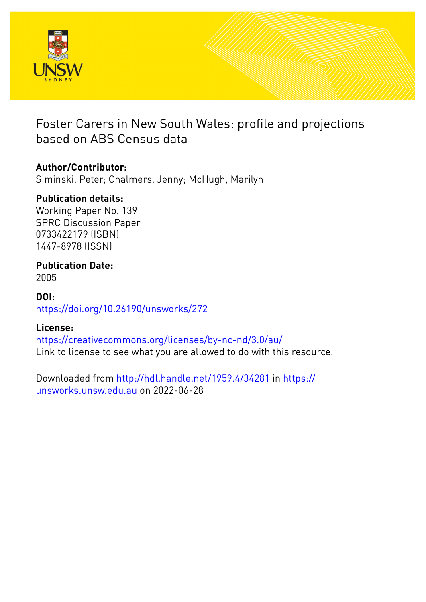

Foster Carers in New South Wales: profile and projections based on ABS Census data

# **Author/Contributor:**

Siminski, Peter; Chalmers, Jenny; McHugh, Marilyn

# **Publication details:**

Working Paper No. 139 SPRC Discussion Paper 0733422179 (ISBN) 1447-8978 (ISSN)

# **Publication Date:** 2005

# **DOI:** [https://doi.org/10.26190/unsworks/272](http://dx.doi.org/https://doi.org/10.26190/unsworks/272)

# **License:**

<https://creativecommons.org/licenses/by-nc-nd/3.0/au/> Link to license to see what you are allowed to do with this resource.

Downloaded from <http://hdl.handle.net/1959.4/34281> in [https://](https://unsworks.unsw.edu.au) [unsworks.unsw.edu.au](https://unsworks.unsw.edu.au) on 2022-06-28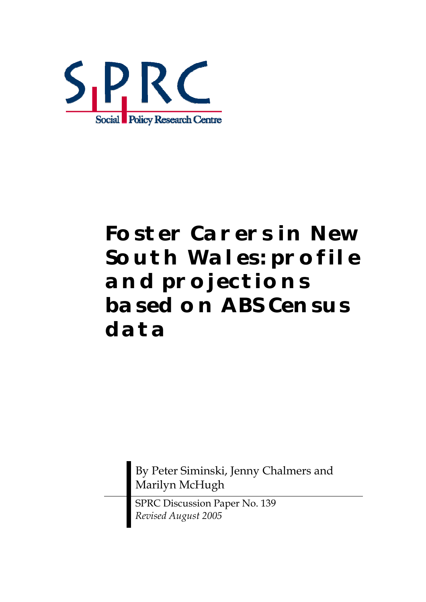

# *Foster Carers in New South Wales: profile and projections based on ABS Census data*

By Peter Siminski, Jenny Chalmers and Marilyn McHugh

SPRC Discussion Paper No. 139 *Revised August 2005*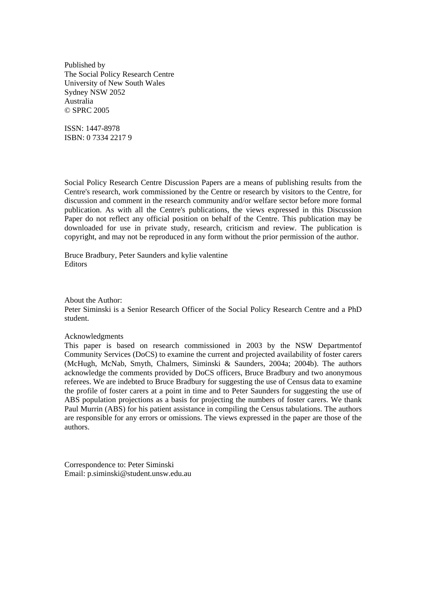Published by The Social Policy Research Centre University of New South Wales Sydney NSW 2052 Australia © SPRC 2005

ISSN: 1447-8978 ISBN: 0 7334 2217 9

Social Policy Research Centre Discussion Papers are a means of publishing results from the Centre's research, work commissioned by the Centre or research by visitors to the Centre, for discussion and comment in the research community and/or welfare sector before more formal publication. As with all the Centre's publications, the views expressed in this Discussion Paper do not reflect any official position on behalf of the Centre. This publication may be downloaded for use in private study, research, criticism and review. The publication is copyright, and may not be reproduced in any form without the prior permission of the author.

Bruce Bradbury, Peter Saunders and kylie valentine Editors

About the Author:

Peter Siminski is a Senior Research Officer of the Social Policy Research Centre and a PhD student.

Acknowledgments

This paper is based on research commissioned in 2003 by the NSW Departmentof Community Services (DoCS) to examine the current and projected availability of foster carers (McHugh, McNab, Smyth, Chalmers, Siminski & Saunders, 2004a; 2004b). The authors acknowledge the comments provided by DoCS officers, Bruce Bradbury and two anonymous referees. We are indebted to Bruce Bradbury for suggesting the use of Census data to examine the profile of foster carers at a point in time and to Peter Saunders for suggesting the use of ABS population projections as a basis for projecting the numbers of foster carers. We thank Paul Murrin (ABS) for his patient assistance in compiling the Census tabulations. The authors are responsible for any errors or omissions. The views expressed in the paper are those of the authors.

Correspondence to: Peter Siminski Email: p.siminski@student.unsw.edu.au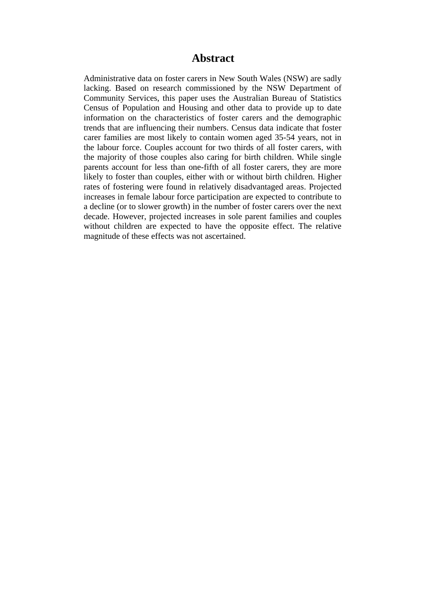# **Abstract**

Administrative data on foster carers in New South Wales (NSW) are sadly lacking. Based on research commissioned by the NSW Department of Community Services, this paper uses the Australian Bureau of Statistics Census of Population and Housing and other data to provide up to date information on the characteristics of foster carers and the demographic trends that are influencing their numbers. Census data indicate that foster carer families are most likely to contain women aged 35-54 years, not in the labour force. Couples account for two thirds of all foster carers, with the majority of those couples also caring for birth children. While single parents account for less than one-fifth of all foster carers, they are more likely to foster than couples, either with or without birth children. Higher rates of fostering were found in relatively disadvantaged areas. Projected increases in female labour force participation are expected to contribute to a decline (or to slower growth) in the number of foster carers over the next decade. However, projected increases in sole parent families and couples without children are expected to have the opposite effect. The relative magnitude of these effects was not ascertained.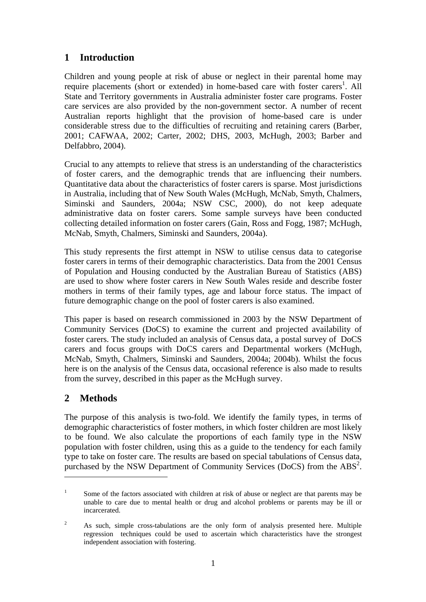# **1 Introduction**

Children and young people at risk of abuse or neglect in their parental home may require placements (short or extended) in home-based care with foster carers<sup>[1](#page-4-0)</sup>. All State and Territory governments in Australia administer foster care programs. Foster care services are also provided by the non-government sector. A number of recent Australian reports highlight that the provision of home-based care is under considerable stress due to the difficulties of recruiting and retaining carers (Barber, 2001; CAFWAA, 2002; Carter, 2002; DHS, 2003, McHugh, 2003; Barber and Delfabbro, 2004).

Crucial to any attempts to relieve that stress is an understanding of the characteristics of foster carers, and the demographic trends that are influencing their numbers. Quantitative data about the characteristics of foster carers is sparse. Most jurisdictions in Australia, including that of New South Wales (McHugh, McNab, Smyth, Chalmers, Siminski and Saunders, 2004a; NSW CSC, 2000), do not keep adequate administrative data on foster carers. Some sample surveys have been conducted collecting detailed information on foster carers (Gain, Ross and Fogg, 1987; McHugh, McNab, Smyth, Chalmers, Siminski and Saunders, 2004a).

This study represents the first attempt in NSW to utilise census data to categorise foster carers in terms of their demographic characteristics. Data from the 2001 Census of Population and Housing conducted by the Australian Bureau of Statistics (ABS) are used to show where foster carers in New South Wales reside and describe foster mothers in terms of their family types, age and labour force status. The impact of future demographic change on the pool of foster carers is also examined.

This paper is based on research commissioned in 2003 by the NSW Department of Community Services (DoCS) to examine the current and projected availability of foster carers. The study included an analysis of Census data, a postal survey of DoCS carers and focus groups with DoCS carers and Departmental workers (McHugh, McNab, Smyth, Chalmers, Siminski and Saunders, 2004a; 2004b). Whilst the focus here is on the analysis of the Census data, occasional reference is also made to results from the survey, described in this paper as the McHugh survey.

# **2 Methods**

 $\overline{a}$ 

The purpose of this analysis is two-fold. We identify the family types, in terms of demographic characteristics of foster mothers, in which foster children are most likely to be found. We also calculate the proportions of each family type in the NSW population with foster children, using this as a guide to the tendency for each family type to take on foster care. The results are based on special tabulations of Census data, purchased by the NSW Department of Community Services (DoCS) from the ABS<sup>[2](#page-4-1)</sup>.

<span id="page-4-0"></span><sup>1</sup> Some of the factors associated with children at risk of abuse or neglect are that parents may be unable to care due to mental health or drug and alcohol problems or parents may be ill or incarcerated.

<span id="page-4-1"></span><sup>2</sup> As such, simple cross-tabulations are the only form of analysis presented here. Multiple regression techniques could be used to ascertain which characteristics have the strongest independent association with fostering.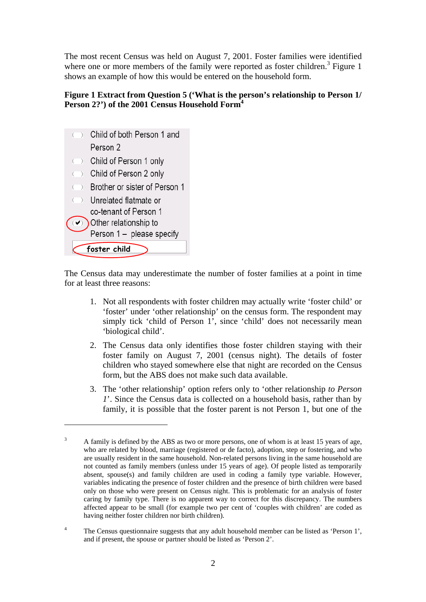The most recent Census was held on August 7, 2001. Foster families were identified where one or more members of the family were reported as foster children.<sup>[3](#page-5-1)</sup> Figure 1 shows an example of how this would be entered on the household form.

## <span id="page-5-0"></span>**Figure 1 Extract from Question 5 ('What is the person's relationship to Person 1/ Person 2?') of the 2001 Census Household Form[4](#page-5-2)**

|                      | foster child                  |
|----------------------|-------------------------------|
|                      | Person 1 - please specify     |
| $\blacktriangledown$ | Other relationship to         |
|                      | co-tenant of Person 1         |
|                      | ( ) Unrelated flatmate or     |
| $($ )                | Brother or sister of Person 1 |
|                      | ( ) Child of Person 2 only    |
|                      | ( ) Child of Person 1 only    |
|                      | Person 2                      |
|                      | ○ Child of both Person 1 and  |

 $\overline{a}$ 

The Census data may underestimate the number of foster families at a point in time for at least three reasons:

- 1. Not all respondents with foster children may actually write 'foster child' or 'foster' under 'other relationship' on the census form. The respondent may simply tick 'child of Person 1', since 'child' does not necessarily mean 'biological child'.
- 2. The Census data only identifies those foster children staying with their foster family on August 7, 2001 (census night). The details of foster children who stayed somewhere else that night are recorded on the Census form, but the ABS does not make such data available.
- 3. The 'other relationship' option refers only to 'other relationship *to Person 1*'. Since the Census data is collected on a household basis, rather than by family, it is possible that the foster parent is not Person 1, but one of the

<span id="page-5-1"></span><sup>3</sup> A family is defined by the ABS as two or more persons, one of whom is at least 15 years of age, who are related by blood, marriage (registered or de facto), adoption, step or fostering, and who are usually resident in the same household. Non-related persons living in the same household are not counted as family members (unless under 15 years of age). Of people listed as temporarily absent, spouse(s) and family children are used in coding a family type variable. However, variables indicating the presence of foster children and the presence of birth children were based only on those who were present on Census night. This is problematic for an analysis of foster caring by family type. There is no apparent way to correct for this discrepancy. The numbers affected appear to be small (for example two per cent of 'couples with children' are coded as having neither foster children nor birth children).

<span id="page-5-2"></span><sup>4</sup> The Census questionnaire suggests that any adult household member can be listed as 'Person 1', and if present, the spouse or partner should be listed as 'Person 2'.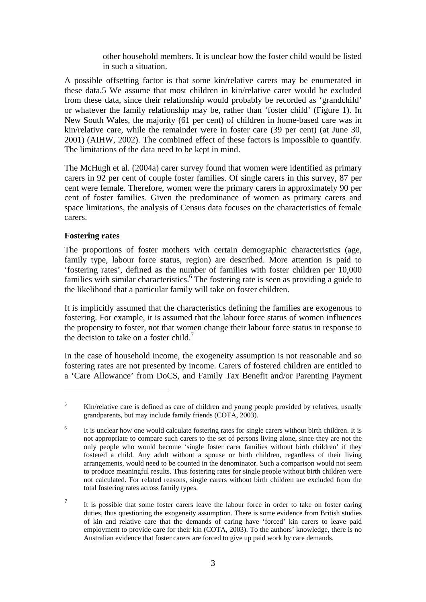other household members. It is unclear how the foster child would be listed in such a situation.

A possible offsetting factor is that some kin/relative carers may be enumerated in these data.[5](#page-6-0) We assume that most children in kin/relative carer would be excluded from these data, since their relationship would probably be recorded as 'grandchild' or whatever the family relationship may be, rather than 'foster child' [\(Figure 1\)](#page-5-0). In New South Wales, the majority (61 per cent) of children in home-based care was in kin/relative care, while the remainder were in foster care (39 per cent) (at June 30, 2001) (AIHW, 2002). The combined effect of these factors is impossible to quantify. The limitations of the data need to be kept in mind.

The McHugh et al. (2004a) carer survey found that women were identified as primary carers in 92 per cent of couple foster families. Of single carers in this survey, 87 per cent were female. Therefore, women were the primary carers in approximately 90 per cent of foster families. Given the predominance of women as primary carers and space limitations, the analysis of Census data focuses on the characteristics of female carers.

#### **Fostering rates**

 $\overline{a}$ 

<span id="page-6-3"></span>The proportions of foster mothers with certain demographic characteristics (age, family type, labour force status, region) are described. More attention is paid to 'fostering rates', defined as the number of families with foster children per 10,000 families with similar characteristics.<sup>6</sup> The fostering rate is seen as providing a guide to the likelihood that a particular family will take on foster children.

It is implicitly assumed that the characteristics defining the families are exogenous to fostering. For example, it is assumed that the labour force status of women influences the propensity to foster, not that women change their labour force status in response to the decision to take on a foster child.<sup>[7](#page-6-2)</sup>

In the case of household income, the exogeneity assumption is not reasonable and so fostering rates are not presented by income. Carers of fostered children are entitled to a 'Care Allowance' from DoCS, and Family Tax Benefit and/or Parenting Payment

<span id="page-6-0"></span><sup>5</sup> Kin/relative care is defined as care of children and young people provided by relatives, usually grandparents, but may include family friends (COTA, 2003).

<span id="page-6-1"></span><sup>6</sup> It is unclear how one would calculate fostering rates for single carers without birth children. It is not appropriate to compare such carers to the set of persons living alone, since they are not the only people who would become 'single foster carer families without birth children' if they fostered a child. Any adult without a spouse or birth children, regardless of their living arrangements, would need to be counted in the denominator. Such a comparison would not seem to produce meaningful results. Thus fostering rates for single people without birth children were not calculated. For related reasons, single carers without birth children are excluded from the total fostering rates across family types.

<span id="page-6-2"></span><sup>7</sup> It is possible that some foster carers leave the labour force in order to take on foster caring duties, thus questioning the exogeneity assumption. There is some evidence from British studies of kin and relative care that the demands of caring have 'forced' kin carers to leave paid employment to provide care for their kin (COTA, 2003). To the authors' knowledge, there is no Australian evidence that foster carers are forced to give up paid work by care demands.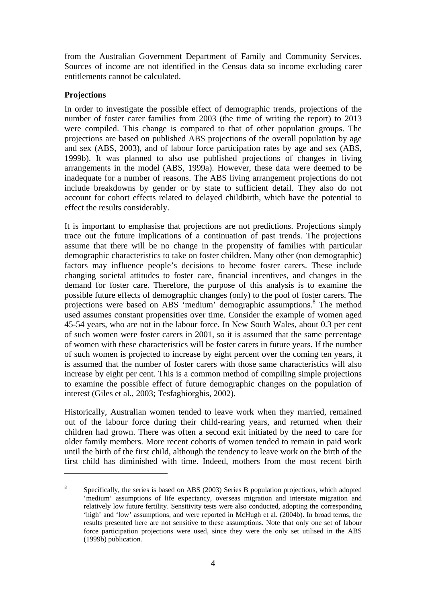from the Australian Government Department of Family and Community Services. Sources of income are not identified in the Census data so income excluding carer entitlements cannot be calculated.

#### **Projections**

 $\overline{a}$ 

In order to investigate the possible effect of demographic trends, projections of the number of foster carer families from 2003 (the time of writing the report) to 2013 were compiled. This change is compared to that of other population groups. The projections are based on published ABS projections of the overall population by age and sex (ABS, 2003), and of labour force participation rates by age and sex (ABS, 1999b). It was planned to also use published projections of changes in living arrangements in the model (ABS, 1999a). However, these data were deemed to be inadequate for a number of reasons. The ABS living arrangement projections do not include breakdowns by gender or by state to sufficient detail. They also do not account for cohort effects related to delayed childbirth, which have the potential to effect the results considerably.

It is important to emphasise that projections are not predictions. Projections simply trace out the future implications of a continuation of past trends. The projections assume that there will be no change in the propensity of families with particular demographic characteristics to take on foster children. Many other (non demographic) factors may influence people's decisions to become foster carers. These include changing societal attitudes to foster care, financial incentives, and changes in the demand for foster care. Therefore, the purpose of this analysis is to examine the possible future effects of demographic changes (only) to the pool of foster carers. The projections were based on ABS 'medium' demographic assumptions.<sup>[8](#page-7-0)</sup> The method used assumes constant propensities over time. Consider the example of women aged 45-54 years, who are not in the labour force. In New South Wales, about 0.3 per cent of such women were foster carers in 2001, so it is assumed that the same percentage of women with these characteristics will be foster carers in future years. If the number of such women is projected to increase by eight percent over the coming ten years, it is assumed that the number of foster carers with those same characteristics will also increase by eight per cent. This is a common method of compiling simple projections to examine the possible effect of future demographic changes on the population of interest (Giles et al., 2003; Tesfaghiorghis, 2002).

Historically, Australian women tended to leave work when they married, remained out of the labour force during their child-rearing years, and returned when their children had grown. There was often a second exit initiated by the need to care for older family members. More recent cohorts of women tended to remain in paid work until the birth of the first child, although the tendency to leave work on the birth of the first child has diminished with time. Indeed, mothers from the most recent birth

<span id="page-7-0"></span><sup>8</sup> Specifically, the series is based on ABS (2003) Series B population projections, which adopted 'medium' assumptions of life expectancy, overseas migration and interstate migration and relatively low future fertility. Sensitivity tests were also conducted, adopting the corresponding 'high' and 'low' assumptions, and were reported in McHugh et al. (2004b). In broad terms, the results presented here are not sensitive to these assumptions. Note that only one set of labour force participation projections were used, since they were the only set utilised in the ABS (1999b) publication.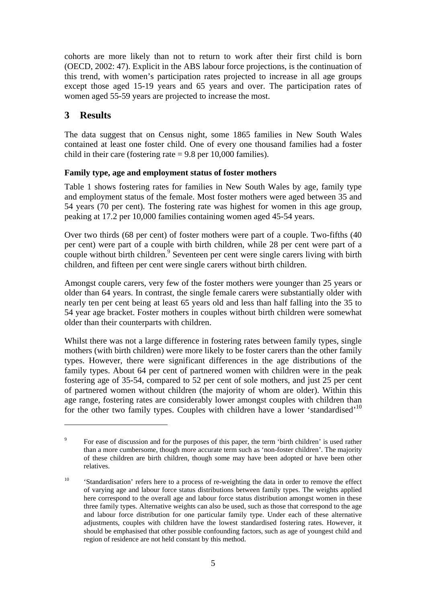cohorts are more likely than not to return to work after their first child is born (OECD, 2002: 47). Explicit in the ABS labour force projections, is the continuation of this trend, with women's participation rates projected to increase in all age groups except those aged 15-19 years and 65 years and over. The participation rates of women aged 55-59 years are projected to increase the most.

# **3 Results**

 $\overline{a}$ 

The data suggest that on Census night, some 1865 families in New South Wales contained at least one foster child. One of every one thousand families had a foster child in their care (fostering rate  $= 9.8$  per 10,000 families).

## **Family type, age and employment status of foster mothers**

[Table 1](#page-9-0) shows fostering rates for families in New South Wales by age, family type and employment status of the female. Most foster mothers were aged between 35 and 54 years (70 per cent). The fostering rate was highest for women in this age group, peaking at 17.2 per 10,000 families containing women aged 45-54 years.

Over two thirds (68 per cent) of foster mothers were part of a couple. Two-fifths (40 per cent) were part of a couple with birth children, while 28 per cent were part of a couple without birth children.<sup>[9](#page-8-0)</sup> Seventeen per cent were single carers living with birth children, and fifteen per cent were single carers without birth children.

Amongst couple carers, very few of the foster mothers were younger than 25 years or older than 64 years. In contrast, the single female carers were substantially older with nearly ten per cent being at least 65 years old and less than half falling into the 35 to 54 year age bracket. Foster mothers in couples without birth children were somewhat older than their counterparts with children.

Whilst there was not a large difference in fostering rates between family types, single mothers (with birth children) were more likely to be foster carers than the other family types. However, there were significant differences in the age distributions of the family types. About 64 per cent of partnered women with children were in the peak fostering age of 35-54, compared to 52 per cent of sole mothers, and just 25 per cent of partnered women without children (the majority of whom are older). Within this age range, fostering rates are considerably lower amongst couples with children than for the other two family types. Couples with children have a lower 'standardised'<sup>10</sup>

<span id="page-8-0"></span><sup>9</sup> For ease of discussion and for the purposes of this paper, the term 'birth children' is used rather than a more cumbersome, though more accurate term such as 'non-foster children'. The majority of these children are birth children, though some may have been adopted or have been other relatives.

<span id="page-8-1"></span><sup>&</sup>lt;sup>10</sup> 'Standardisation' refers here to a process of re-weighting the data in order to remove the effect of varying age and labour force status distributions between family types. The weights applied here correspond to the overall age and labour force status distribution amongst women in these three family types. Alternative weights can also be used, such as those that correspond to the age and labour force distribution for one particular family type. Under each of these alternative adjustments, couples with children have the lowest standardised fostering rates. However, it should be emphasised that other possible confounding factors, such as age of youngest child and region of residence are not held constant by this method.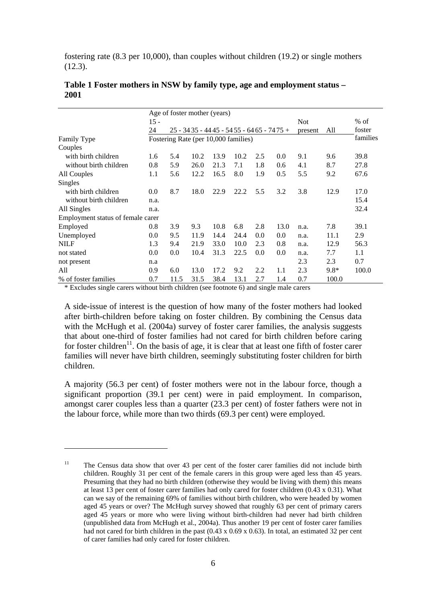fostering rate (8.3 per 10,000), than couples without children (19.2) or single mothers (12.3).

|                                   | Age of foster mother (years) |      |                                           |      |      |     |      |            |        |          |
|-----------------------------------|------------------------------|------|-------------------------------------------|------|------|-----|------|------------|--------|----------|
|                                   | $15 -$                       |      |                                           |      |      |     |      | <b>Not</b> |        | $%$ of   |
|                                   | 24                           |      | $25 - 3435 - 4445 - 5455 - 6465 - 7475 +$ |      |      |     |      | present    | All    | foster   |
| Family Type                       |                              |      | Fostering Rate (per 10,000 families)      |      |      |     |      |            |        | families |
| Couples                           |                              |      |                                           |      |      |     |      |            |        |          |
| with birth children               | 1.6                          | 5.4  | 10.2                                      | 13.9 | 10.2 | 2.5 | 0.0  | 9.1        | 9.6    | 39.8     |
| without birth children            | 0.8                          | 5.9  | 26.0                                      | 21.3 | 7.1  | 1.8 | 0.6  | 4.1        | 8.7    | 27.8     |
| All Couples                       | 1.1                          | 5.6  | 12.2                                      | 16.5 | 8.0  | 1.9 | 0.5  | 5.5        | 9.2    | 67.6     |
| Singles                           |                              |      |                                           |      |      |     |      |            |        |          |
| with birth children               | 0.0                          | 8.7  | 18.0                                      | 22.9 | 22.2 | 5.5 | 3.2  | 3.8        | 12.9   | 17.0     |
| without birth children            | n.a.                         |      |                                           |      |      |     |      |            |        | 15.4     |
| All Singles                       | n.a.                         |      |                                           |      |      |     |      |            |        | 32.4     |
| Employment status of female carer |                              |      |                                           |      |      |     |      |            |        |          |
| Employed                          | 0.8                          | 3.9  | 9.3                                       | 10.8 | 6.8  | 2.8 | 13.0 | n.a.       | 7.8    | 39.1     |
| Unemployed                        | 0.0                          | 9.5  | 11.9                                      | 14.4 | 24.4 | 0.0 | 0.0  | n.a.       | 11.1   | 2.9      |
| <b>NILF</b>                       | 1.3                          | 9.4  | 21.9                                      | 33.0 | 10.0 | 2.3 | 0.8  | n.a.       | 12.9   | 56.3     |
| not stated                        | 0.0                          | 0.0  | 10.4                                      | 31.3 | 22.5 | 0.0 | 0.0  | n.a.       | 7.7    | 1.1      |
| not present                       | n.a                          |      |                                           |      |      |     |      | 2.3        | 2.3    | 0.7      |
| All                               | 0.9                          | 6.0  | 13.0                                      | 17.2 | 9.2  | 2.2 | 1.1  | 2.3        | $9.8*$ | 100.0    |
| % of foster families              | 0.7                          | 11.5 | 31.5                                      | 38.4 | 13.1 | 2.7 | 1.4  | 0.7        | 100.0  |          |

#### <span id="page-9-0"></span>**Table 1 Foster mothers in NSW by family type, age and employment status – 2001**

\* Excludes single carers without birth children (see footnote [6\)](#page-6-3) and single male carers

 $\overline{a}$ 

A side-issue of interest is the question of how many of the foster mothers had looked after birth-children before taking on foster children. By combining the Census data with the McHugh et al. (2004a) survey of foster carer families, the analysis suggests that about one-third of foster families had not cared for birth children before caring for foster children<sup>11</sup>. On the basis of age, it is clear that at least one fifth of foster carer families will never have birth children, seemingly substituting foster children for birth children.

A majority (56.3 per cent) of foster mothers were not in the labour force, though a significant proportion (39.1 per cent) were in paid employment. In comparison, amongst carer couples less than a quarter (23.3 per cent) of foster fathers were not in the labour force, while more than two thirds (69.3 per cent) were employed.

<span id="page-9-1"></span><sup>&</sup>lt;sup>11</sup> The Census data show that over 43 per cent of the foster carer families did not include birth children. Roughly 31 per cent of the female carers in this group were aged less than 45 years. Presuming that they had no birth children (otherwise they would be living with them) this means at least 13 per cent of foster carer families had only cared for foster children (0.43 x 0.31). What can we say of the remaining 69% of families without birth children, who were headed by women aged 45 years or over? The McHugh survey showed that roughly 63 per cent of primary carers aged 45 years or more who were living without birth-children had never had birth children (unpublished data from McHugh et al., 2004a). Thus another 19 per cent of foster carer families had not cared for birth children in the past (0.43 x 0.69 x 0.63). In total, an estimated 32 per cent of carer families had only cared for foster children.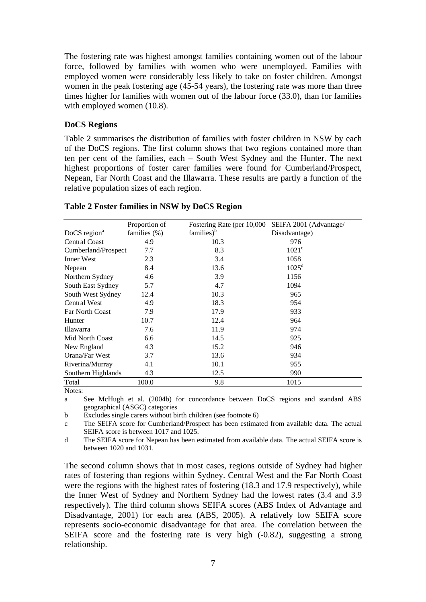The fostering rate was highest amongst families containing women out of the labour force, followed by families with women who were unemployed. Families with employed women were considerably less likely to take on foster children. Amongst women in the peak fostering age (45-54 years), the fostering rate was more than three times higher for families with women out of the labour force (33.0), than for families with employed women  $(10.8)$ .

#### **DoCS Regions**

[Table 2](#page-10-0) summarises the distribution of families with foster children in NSW by each of the DoCS regions. The first column shows that two regions contained more than ten per cent of the families, each – South West Sydney and the Hunter. The next highest proportions of foster carer families were found for Cumberland/Prospect, Nepean, Far North Coast and the Illawarra. These results are partly a function of the relative population sizes of each region.

|                        | Proportion of   | Fostering Rate (per 10,000 | SEIFA 2001 (Advantage/ |
|------------------------|-----------------|----------------------------|------------------------|
| DoCS region $a$        | families $(\%)$ | families) <sup>b</sup>     | Disadvantage)          |
| <b>Central Coast</b>   | 4.9             | 10.3                       | 976                    |
| Cumberland/Prospect    | 7.7             | 8.3                        | $1021^{\circ}$         |
| Inner West             | 2.3             | 3.4                        | 1058                   |
| Nepean                 | 8.4             | 13.6                       | 1025 <sup>d</sup>      |
| Northern Sydney        | 4.6             | 3.9                        | 1156                   |
| South East Sydney      | 5.7             | 4.7                        | 1094                   |
| South West Sydney      | 12.4            | 10.3                       | 965                    |
| <b>Central West</b>    | 4.9             | 18.3                       | 954                    |
| <b>Far North Coast</b> | 7.9             | 17.9                       | 933                    |
| Hunter                 | 10.7            | 12.4                       | 964                    |
| Illawarra              | 7.6             | 11.9                       | 974                    |
| Mid North Coast        | 6.6             | 14.5                       | 925                    |
| New England            | 4.3             | 15.2                       | 946                    |
| Orana/Far West         | 3.7             | 13.6                       | 934                    |
| Riverina/Murray        | 4.1             | 10.1                       | 955                    |
| Southern Highlands     | 4.3             | 12.5                       | 990                    |
| Total                  | 100.0           | 9.8                        | 1015                   |

#### <span id="page-10-0"></span>**Table 2 Foster families in NSW by DoCS Region**

Notes:

a See McHugh et al. (2004b) for concordance between DoCS regions and standard ABS geographical (ASGC) categories

b Excludes single carers without birth children (see footnote [6\)](#page-6-3)

c The SEIFA score for Cumberland/Prospect has been estimated from available data. The actual SEIFA score is between 1017 and 1025.

d The SEIFA score for Nepean has been estimated from available data. The actual SEIFA score is between 1020 and 1031.

The second column shows that in most cases, regions outside of Sydney had higher rates of fostering than regions within Sydney. Central West and the Far North Coast were the regions with the highest rates of fostering (18.3 and 17.9 respectively), while the Inner West of Sydney and Northern Sydney had the lowest rates (3.4 and 3.9 respectively). The third column shows SEIFA scores (ABS Index of Advantage and Disadvantage, 2001) for each area (ABS, 2005). A relatively low SEIFA score represents socio-economic disadvantage for that area. The correlation between the SEIFA score and the fostering rate is very high (-0.82), suggesting a strong relationship.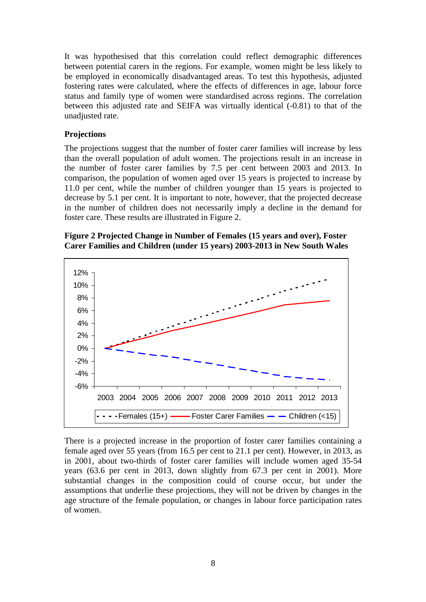It was hypothesised that this correlation could reflect demographic differences between potential carers in the regions. For example, women might be less likely to be employed in economically disadvantaged areas. To test this hypothesis, adjusted fostering rates were calculated, where the effects of differences in age, labour force status and family type of women were standardised across regions. The correlation between this adjusted rate and SEIFA was virtually identical (-0.81) to that of the unadjusted rate.

#### **Projections**

The projections suggest that the number of foster carer families will increase by less than the overall population of adult women. The projections result in an increase in the number of foster carer families by 7.5 per cent between 2003 and 2013. In comparison, the population of women aged over 15 years is projected to increase by 11.0 per cent, while the number of children younger than 15 years is projected to decrease by 5.1 per cent. It is important to note, however, that the projected decrease in the number of children does not necessarily imply a decline in the demand for foster care. These results are illustrated in [Figure 2.](#page-11-0)

#### <span id="page-11-0"></span>**Figure 2 Projected Change in Number of Females (15 years and over), Foster Carer Families and Children (under 15 years) 2003-2013 in New South Wales**



There is a projected increase in the proportion of foster carer families containing a female aged over 55 years (from 16.5 per cent to 21.1 per cent). However, in 2013, as in 2001, about two-thirds of foster carer families will include women aged 35-54 years (63.6 per cent in 2013, down slightly from 67.3 per cent in 2001). More substantial changes in the composition could of course occur, but under the assumptions that underlie these projections, they will not be driven by changes in the age structure of the female population, or changes in labour force participation rates of women.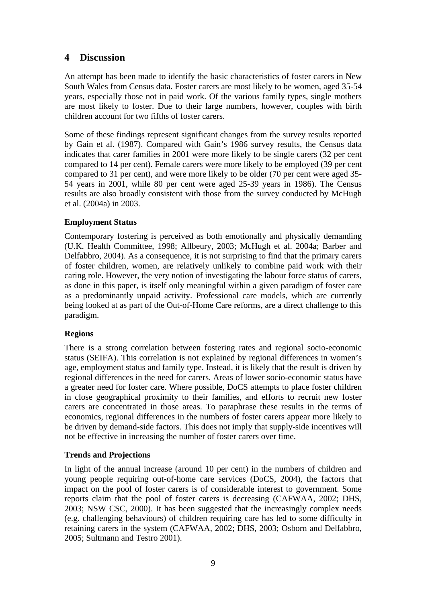# **4 Discussion**

An attempt has been made to identify the basic characteristics of foster carers in New South Wales from Census data. Foster carers are most likely to be women, aged 35-54 years, especially those not in paid work. Of the various family types, single mothers are most likely to foster. Due to their large numbers, however, couples with birth children account for two fifths of foster carers.

Some of these findings represent significant changes from the survey results reported by Gain et al. (1987). Compared with Gain's 1986 survey results, the Census data indicates that carer families in 2001 were more likely to be single carers (32 per cent compared to 14 per cent). Female carers were more likely to be employed (39 per cent compared to 31 per cent), and were more likely to be older (70 per cent were aged 35- 54 years in 2001, while 80 per cent were aged 25-39 years in 1986). The Census results are also broadly consistent with those from the survey conducted by McHugh et al. (2004a) in 2003.

## **Employment Status**

Contemporary fostering is perceived as both emotionally and physically demanding (U.K. Health Committee, 1998; Allbeury, 2003; McHugh et al. 2004a; Barber and Delfabbro, 2004). As a consequence, it is not surprising to find that the primary carers of foster children, women, are relatively unlikely to combine paid work with their caring role. However, the very notion of investigating the labour force status of carers, as done in this paper, is itself only meaningful within a given paradigm of foster care as a predominantly unpaid activity. Professional care models, which are currently being looked at as part of the Out-of-Home Care reforms, are a direct challenge to this paradigm.

## **Regions**

There is a strong correlation between fostering rates and regional socio-economic status (SEIFA). This correlation is not explained by regional differences in women's age, employment status and family type. Instead, it is likely that the result is driven by regional differences in the need for carers. Areas of lower socio-economic status have a greater need for foster care. Where possible, DoCS attempts to place foster children in close geographical proximity to their families, and efforts to recruit new foster carers are concentrated in those areas. To paraphrase these results in the terms of economics, regional differences in the numbers of foster carers appear more likely to be driven by demand-side factors. This does not imply that supply-side incentives will not be effective in increasing the number of foster carers over time.

#### **Trends and Projections**

In light of the annual increase (around 10 per cent) in the numbers of children and young people requiring out-of-home care services (DoCS, 2004), the factors that impact on the pool of foster carers is of considerable interest to government. Some reports claim that the pool of foster carers is decreasing (CAFWAA, 2002; DHS, 2003; NSW CSC, 2000). It has been suggested that the increasingly complex needs (e.g. challenging behaviours) of children requiring care has led to some difficulty in retaining carers in the system (CAFWAA, 2002; DHS, 2003; Osborn and Delfabbro, 2005; Sultmann and Testro 2001).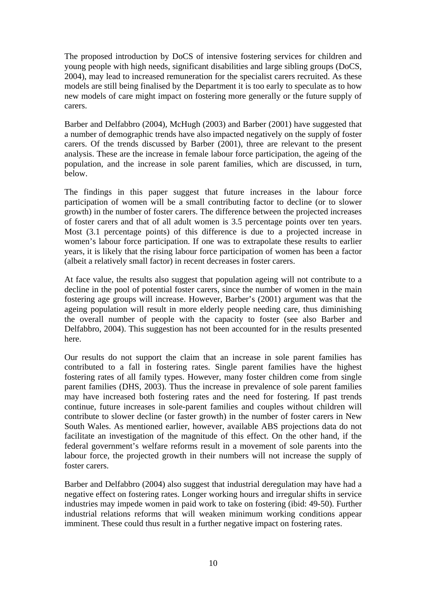The proposed introduction by DoCS of intensive fostering services for children and young people with high needs, significant disabilities and large sibling groups (DoCS, 2004), may lead to increased remuneration for the specialist carers recruited. As these models are still being finalised by the Department it is too early to speculate as to how new models of care might impact on fostering more generally or the future supply of carers.

Barber and Delfabbro (2004), McHugh (2003) and Barber (2001) have suggested that a number of demographic trends have also impacted negatively on the supply of foster carers. Of the trends discussed by Barber (2001), three are relevant to the present analysis. These are the increase in female labour force participation, the ageing of the population, and the increase in sole parent families, which are discussed, in turn, below.

The findings in this paper suggest that future increases in the labour force participation of women will be a small contributing factor to decline (or to slower growth) in the number of foster carers. The difference between the projected increases of foster carers and that of all adult women is 3.5 percentage points over ten years. Most (3.1 percentage points) of this difference is due to a projected increase in women's labour force participation. If one was to extrapolate these results to earlier years, it is likely that the rising labour force participation of women has been a factor (albeit a relatively small factor) in recent decreases in foster carers.

At face value, the results also suggest that population ageing will not contribute to a decline in the pool of potential foster carers, since the number of women in the main fostering age groups will increase. However, Barber's (2001) argument was that the ageing population will result in more elderly people needing care, thus diminishing the overall number of people with the capacity to foster (see also Barber and Delfabbro, 2004). This suggestion has not been accounted for in the results presented here.

Our results do not support the claim that an increase in sole parent families has contributed to a fall in fostering rates. Single parent families have the highest fostering rates of all family types. However, many foster children come from single parent families (DHS, 2003). Thus the increase in prevalence of sole parent families may have increased both fostering rates and the need for fostering. If past trends continue, future increases in sole-parent families and couples without children will contribute to slower decline (or faster growth) in the number of foster carers in New South Wales. As mentioned earlier, however, available ABS projections data do not facilitate an investigation of the magnitude of this effect. On the other hand, if the federal government's welfare reforms result in a movement of sole parents into the labour force, the projected growth in their numbers will not increase the supply of foster carers.

Barber and Delfabbro (2004) also suggest that industrial deregulation may have had a negative effect on fostering rates. Longer working hours and irregular shifts in service industries may impede women in paid work to take on fostering (ibid: 49-50). Further industrial relations reforms that will weaken minimum working conditions appear imminent. These could thus result in a further negative impact on fostering rates.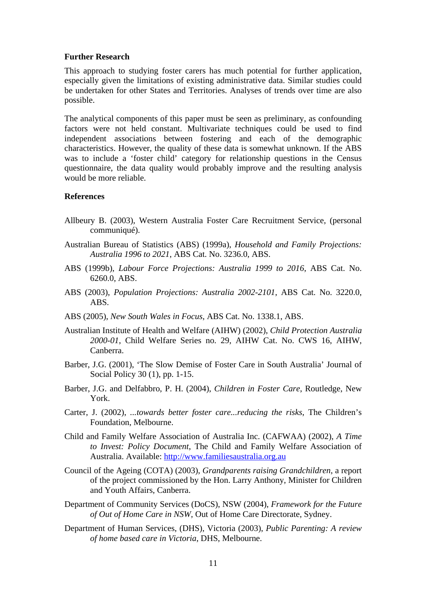#### **Further Research**

This approach to studying foster carers has much potential for further application, especially given the limitations of existing administrative data. Similar studies could be undertaken for other States and Territories. Analyses of trends over time are also possible.

The analytical components of this paper must be seen as preliminary, as confounding factors were not held constant. Multivariate techniques could be used to find independent associations between fostering and each of the demographic characteristics. However, the quality of these data is somewhat unknown. If the ABS was to include a 'foster child' category for relationship questions in the Census questionnaire, the data quality would probably improve and the resulting analysis would be more reliable.

#### **References**

- Allbeury B. (2003), Western Australia Foster Care Recruitment Service, (personal communiqué).
- Australian Bureau of Statistics (ABS) (1999a), *Household and Family Projections: Australia 1996 to 2021*, ABS Cat. No. 3236.0, ABS.
- ABS (1999b), *Labour Force Projections: Australia 1999 to 2016*, ABS Cat. No. 6260.0, ABS.
- ABS (2003), *Population Projections: Australia 2002-2101*, ABS Cat. No. 3220.0, ABS.
- ABS (2005), *New South Wales in Focus*, ABS Cat. No. 1338.1, ABS.
- Australian Institute of Health and Welfare (AIHW) (2002), *Child Protection Australia 2000-01*, Child Welfare Series no. 29, AIHW Cat. No. CWS 16, AIHW, Canberra.
- Barber, J.G. (2001), 'The Slow Demise of Foster Care in South Australia' Journal of Social Policy 30 (1), pp. 1-15.
- Barber, J.G. and Delfabbro, P. H. (2004), *Children in Foster Care*, Routledge, New York.
- Carter, J. (2002), *...towards better foster care...reducing the risks*, The Children's Foundation, Melbourne.
- Child and Family Welfare Association of Australia Inc. (CAFWAA) (2002), *A Time to Invest: Policy Document*, The Child and Family Welfare Association of Australia. Available: [http://www.familiesaustralia.org.au](http://www.familiesaustralia.org.au/)
- Council of the Ageing (COTA) (2003), *Grandparents raising Grandchildren*, a report of the project commissioned by the Hon. Larry Anthony, Minister for Children and Youth Affairs, Canberra.
- Department of Community Services (DoCS), NSW (2004), *Framework for the Future of Out of Home Care in NSW*, Out of Home Care Directorate, Sydney.
- Department of Human Services, (DHS), Victoria (2003), *Public Parenting: A review of home based care in Victoria*, DHS, Melbourne.